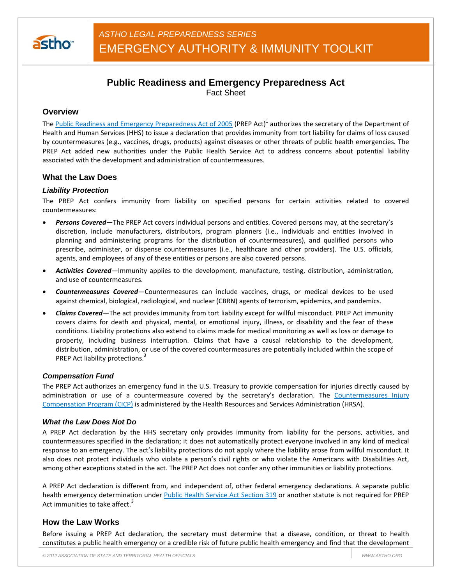

# **Public Readiness and Emergency Preparedness Act**

Fact Sheet

## **Overview**

The Public Readiness and Emergency Preparedness Act of 2005 (PREP Act)<sup>1</sup> authorizes the secretary of the Department of Health and Human Services (HHS) to issue a declaration that provides immunity from tort liability for claims of loss caused by countermeasures (e.g., vaccines, drugs, products) against diseases or other threats of public health emergencies. The PREP Act added new authorities under the Public Health Service Act to address concerns about potential liability associated with the development and administration of countermeasures.

## **What the Law Does**

## *Liability Protection*

The PREP Act confers immunity from liability on specified persons for certain activities related to covered countermeasures:

- *Persons Covered—*The PREP Act covers individual persons and entities. Covered persons may, at the secretary's discretion, include manufacturers, distributors, program planners (i.e., individuals and entities involved in planning and administering programs for the distribution of countermeasures), and qualified persons who prescribe, administer, or dispense countermeasures (i.e., healthcare and other providers). The U.S. officials, agents, and employees of any of these entities or persons are also covered persons.
- *Activities Covered—*Immunity applies to the development, manufacture, testing, distribution, administration, and use of countermeasures.
- *Countermeasures Covered—*Countermeasures can include vaccines, drugs, or medical devices to be used against chemical, biological, radiological, and nuclear (CBRN) agents of terrorism, epidemics, and pandemics.
- *Claims Covered—*The act provides immunity from tort liability except for willful misconduct. PREP Act immunity covers claims for death and physical, mental, or emotional injury, illness, or disability and the fear of these conditions. Liability protections also extend to claims made for medical monitoring as well as loss or damage to property, including business interruption. Claims that have a causal relationship to the development, distribution, administration, or use of the covered countermeasures are potentially included within the scope of PREP Act liability protections.<sup>3</sup>

## *Compensation Fund*

The PREP Act authorizes an emergency fund in the U.S. Treasury to provide compensation for injuries directly caused by administration or use of a countermeasure covered by the secretary's declaration. The Countermeasures Injury Compensation Program (CICP) is administered by the Health Resources and Services Administration (HRSA).

## *What the Law Does Not Do*

A PREP Act declaration by the HHS secretary only provides immunity from liability for the persons, activities, and countermeasures specified in the declaration; it does not automatically protect everyone involved in any kind of medical response to an emergency. The act's liability protections do not apply where the liability arose from willful misconduct. It also does not protect individuals who violate a person's civil rights or who violate the Americans with Disabilities Act, among other exceptions stated in the act. The PREP Act does not confer any other immunities or liability protections.

A PREP Act declaration is different from, and independent of, other federal emergency declarations. A separate public health emergency determination under Public Health Service Act Section 319 or another statute is not required for PREP Act immunities to take affect.<sup>3</sup>

## **How the Law Works**

Before issuing a PREP Act declaration, the secretary must determine that a disease, condition, or threat to health constitutes a public health emergency or a credible risk of future public health emergency and find that the development